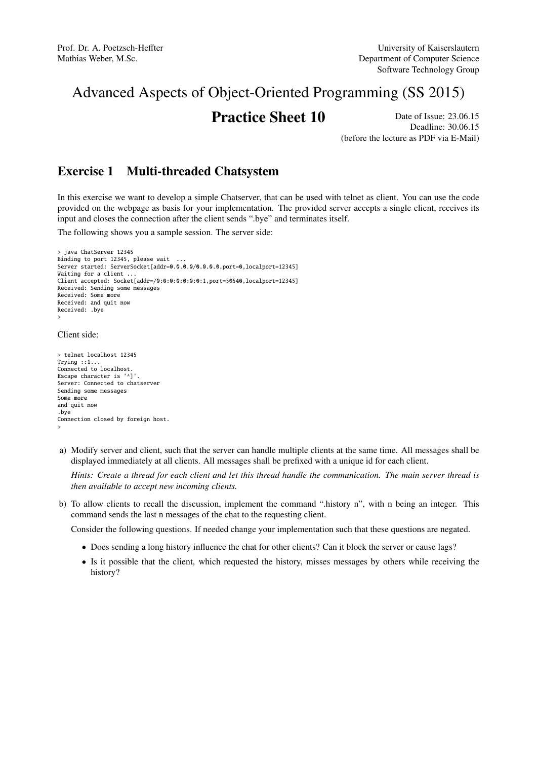# Advanced Aspects of Object-Oriented Programming (SS 2015)

## **Practice Sheet 10** Date of Issue: 23.06.15

Deadline: 30.06.15 (before the lecture as PDF via E-Mail)

## Exercise 1 Multi-threaded Chatsystem

In this exercise we want to develop a simple Chatserver, that can be used with telnet as client. You can use the code provided on the webpage as basis for your implementation. The provided server accepts a single client, receives its input and closes the connection after the client sends ".bye" and terminates itself.

The following shows you a sample session. The server side:

```
> java ChatServer 12345
Binding to port 12345, please wait ...
Server started: ServerSocket[addr=0.0.0.0/0.0.0.0,port=0,localport=12345]
Waiting for a client.
Client accepted: Socket[addr=/0:0:0:0:0:0:0:1,port=50540,localport=12345]
Received: Sending some messages
Received: Some more
Received: and quit now
Received: .bye
>
```
#### Client side:

> telnet localhost 12345 Trying ::1... Connected to localhost. Escape character is '^]'. Server: Connected to chatserver Sending some messages Some more and quit now .bye Connection closed by foreign host. >

a) Modify server and client, such that the server can handle multiple clients at the same time. All messages shall be displayed immediately at all clients. All messages shall be prefixed with a unique id for each client.

*Hints: Create a thread for each client and let this thread handle the communication. The main server thread is then available to accept new incoming clients.*

b) To allow clients to recall the discussion, implement the command ".history n", with n being an integer. This command sends the last n messages of the chat to the requesting client.

Consider the following questions. If needed change your implementation such that these questions are negated.

- Does sending a long history influence the chat for other clients? Can it block the server or cause lags?
- Is it possible that the client, which requested the history, misses messages by others while receiving the history?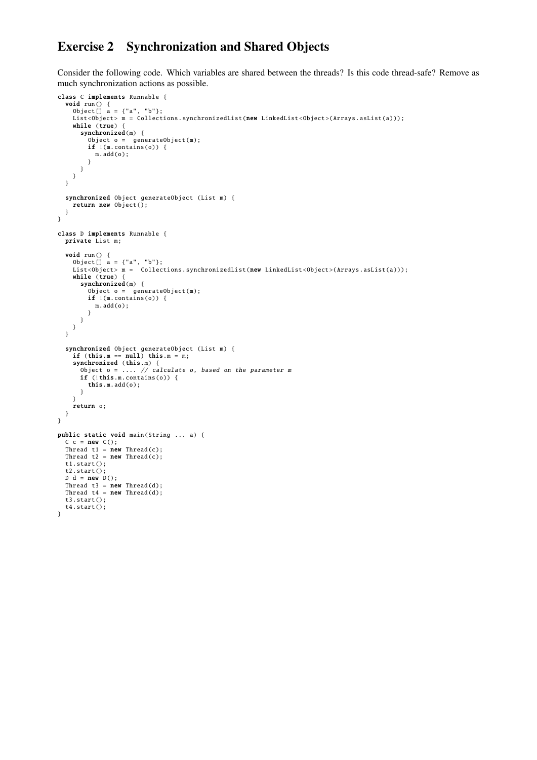### Exercise 2 Synchronization and Shared Objects

Consider the following code. Which variables are shared between the threads? Is this code thread-safe? Remove as much synchronization actions as possible.

```
class C implements Runnable {
  void run () {
Object [] a = {"a", "b"};
    List<Object> m = Collections.synchronizedList(new LinkedList<Object>(Arrays.asList(a)));
    while (true) {
      synchronized(m) {
         Object o = generateObject (m);
if !(m.contains (o)) {
          m.add(o);
        }
      }
   }
  }
  synchronized Object generateObject (List m) {
    return new Object ();
 }
}
class D implements Runnable {
  private List m;
  void run () {
     Object[] a = {"a", "b"};<br>List<Object> m =  Collections.synchronizedList(new LinkedList<Object>(Arrays.asList(a)));
    while (true) {
       synchronized(m) {
         Object o = generateObject(m);if !(m.contains (o)) {
         m.add(o);
}
      }
   }
  }
  synchronized Object generateObject (List m) {
    if (this.m == null) this.m = m;
     synchronized (this.m) {
Object o = .... // calculate o, based on the parameter m
      if (!this.m.contains(o)) {
         this.m.add(o);
      }
    }
    return o;
 }
}
public static void main(String ... a) {
  C \subset = \text{new } C();<br>Thread t1 = new Thread(c);
  Thread t2 = new Thread(c);
  t1.start();
  t2.start ();
  D d = new D();
  Thread t3 = new Thread(d);<br>Thread t4 = new Thread(d);
  t3.start ();
  t4.start();
```
}